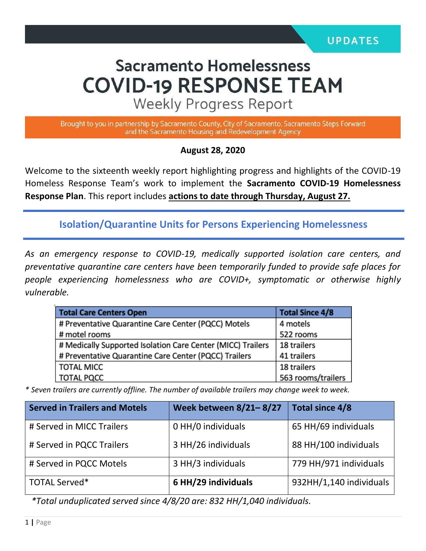# **Sacramento Homelessness COVID-19 RESPONSE TEAM**

**Weekly Progress Report** 

Brought to you in partnership by Sacramento County, City of Sacramento, Sacramento Steps Forward and the Sacramento Housing and Redevelopment Agency

#### **August 28, 2020**

Welcome to the sixteenth weekly report highlighting progress and highlights of the COVID-19 Homeless Response Team's work to implement the **Sacramento COVID-19 Homelessness Response Plan**. This report includes **actions to date through Thursday, August 27.** 

**Isolation/Quarantine Units for Persons Experiencing Homelessness**

*As an emergency response to COVID-19, medically supported isolation care centers, and preventative quarantine care centers have been temporarily funded to provide safe places for people experiencing homelessness who are COVID+, symptomatic or otherwise highly vulnerable.*

| <b>Total Care Centers Open</b>                              | <b>Total Since 4/8</b> |
|-------------------------------------------------------------|------------------------|
| # Preventative Quarantine Care Center (PQCC) Motels         | 4 motels               |
| # motel rooms                                               | 522 rooms              |
| # Medically Supported Isolation Care Center (MICC) Trailers | 18 trailers            |
| # Preventative Quarantine Care Center (PQCC) Trailers       | 41 trailers            |
| <b>TOTAL MICC</b>                                           | 18 trailers            |
| <b>TOTAL PQCC</b>                                           | 563 rooms/trailers     |

*\* Seven trailers are currently offline. The number of available trailers may change week to week.*

| <b>Served in Trailers and Motels</b> | <b>Week between 8/21-8/27</b> | Total since 4/8         |
|--------------------------------------|-------------------------------|-------------------------|
| # Served in MICC Trailers            | 0 HH/0 individuals            | 65 HH/69 individuals    |
| # Served in PQCC Trailers            | 3 HH/26 individuals           | 88 HH/100 individuals   |
| # Served in PQCC Motels              | 3 HH/3 individuals            | 779 HH/971 individuals  |
| <b>TOTAL Served*</b>                 | 6 HH/29 individuals           | 932HH/1,140 individuals |

*\*Total unduplicated served since 4/8/20 are: 832 HH/1,040 individuals.*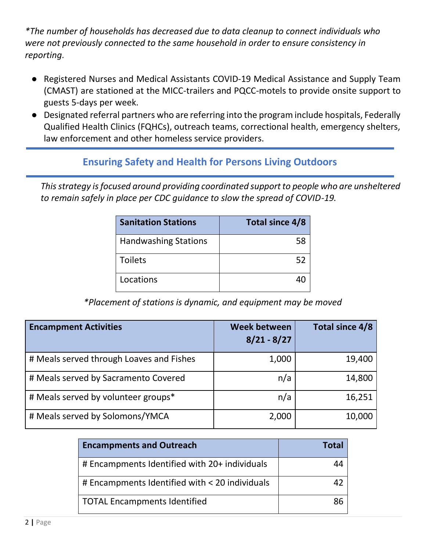*\*The number of households has decreased due to data cleanup to connect individuals who were not previously connected to the same household in order to ensure consistency in reporting.*

- Registered Nurses and Medical Assistants COVID-19 Medical Assistance and Supply Team (CMAST) are stationed at the MICC-trailers and PQCC-motels to provide onsite support to guests 5-days per week.
- Designated referral partners who are referring into the program include hospitals, Federally Qualified Health Clinics (FQHCs), outreach teams, correctional health, emergency shelters, law enforcement and other homeless service providers.

## **Ensuring Safety and Health for Persons Living Outdoors**

*This strategy is focused around providing coordinated support to people who are unsheltered to remain safely in place per CDC guidance to slow the spread of COVID-19.*

| <b>Sanitation Stations</b>  | Total since 4/8 |
|-----------------------------|-----------------|
| <b>Handwashing Stations</b> | 58              |
| <b>Toilets</b>              | 52              |
| Locations                   |                 |

*\*Placement of stations is dynamic, and equipment may be moved*

| <b>Encampment Activities</b>             | Week between<br>$8/21 - 8/27$ | Total since 4/8 |
|------------------------------------------|-------------------------------|-----------------|
| # Meals served through Loaves and Fishes | 1,000                         | 19,400          |
| # Meals served by Sacramento Covered     | n/a                           | 14,800          |
| # Meals served by volunteer groups*      | n/a                           | 16,251          |
| # Meals served by Solomons/YMCA          | 2,000                         | 10,000          |

| <b>Encampments and Outreach</b>                | Total |  |
|------------------------------------------------|-------|--|
| # Encampments Identified with 20+ individuals  |       |  |
| # Encampments Identified with < 20 individuals |       |  |
| TOTAL Encampments Identified                   | 86    |  |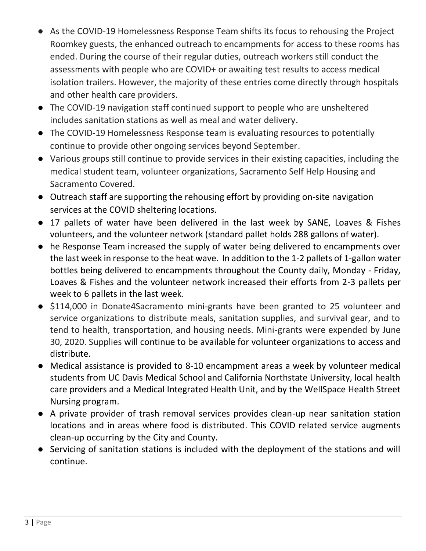- As the COVID-19 Homelessness Response Team shifts its focus to rehousing the Project Roomkey guests, the enhanced outreach to encampments for access to these rooms has ended. During the course of their regular duties, outreach workers still conduct the assessments with people who are COVID+ or awaiting test results to access medical isolation trailers. However, the majority of these entries come directly through hospitals and other health care providers.
- The COVID-19 navigation staff continued support to people who are unsheltered includes sanitation stations as well as meal and water delivery.
- The COVID-19 Homelessness Response team is evaluating resources to potentially continue to provide other ongoing services beyond September.
- Various groups still continue to provide services in their existing capacities, including the medical student team, volunteer organizations, Sacramento Self Help Housing and Sacramento Covered.
- Outreach staff are supporting the rehousing effort by providing on-site navigation services at the COVID sheltering locations.
- 17 pallets of water have been delivered in the last week by SANE, Loaves & Fishes volunteers, and the volunteer network (standard pallet holds 288 gallons of water).
- he Response Team increased the supply of water being delivered to encampments over the last week in response to the heat wave. In addition to the 1-2 pallets of 1-gallon water bottles being delivered to encampments throughout the County daily, Monday - Friday, Loaves & Fishes and the volunteer network increased their efforts from 2-3 pallets per week to 6 pallets in the last week.
- \$114,000 in Donate4Sacramento mini-grants have been granted to 25 volunteer and service organizations to distribute meals, sanitation supplies, and survival gear, and to tend to health, transportation, and housing needs. Mini-grants were expended by June 30, 2020. Supplies will continue to be available for volunteer organizations to access and distribute.
- Medical assistance is provided to 8-10 encampment areas a week by volunteer medical students from UC Davis Medical School and California Northstate University, local health care providers and a Medical Integrated Health Unit, and by the WellSpace Health Street Nursing program.
- A private provider of trash removal services provides clean-up near sanitation station locations and in areas where food is distributed. This COVID related service augments clean-up occurring by the City and County.
- Servicing of sanitation stations is included with the deployment of the stations and will continue.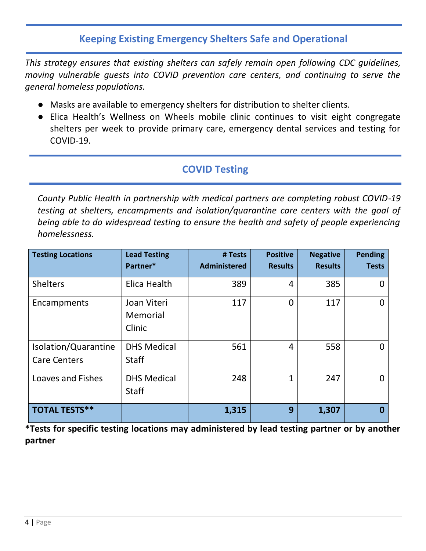## **Keeping Existing Emergency Shelters Safe and Operational**

*This strategy ensures that existing shelters can safely remain open following CDC guidelines, moving vulnerable guests into COVID prevention care centers, and continuing to serve the general homeless populations.* 

- Masks are available to emergency shelters for distribution to shelter clients.
- Elica Health's Wellness on Wheels mobile clinic continues to visit eight congregate shelters per week to provide primary care, emergency dental services and testing for COVID-19.

# **COVID Testing**

*County Public Health in partnership with medical partners are completing robust COVID-19 testing at shelters, encampments and isolation/quarantine care centers with the goal of being able to do widespread testing to ensure the health and safety of people experiencing homelessness.* 

| <b>Testing Locations</b>                    | <b>Lead Testing</b><br>Partner*    | # Tests<br><b>Administered</b> | <b>Positive</b><br><b>Results</b> | <b>Negative</b><br><b>Results</b> | <b>Pending</b><br><b>Tests</b> |
|---------------------------------------------|------------------------------------|--------------------------------|-----------------------------------|-----------------------------------|--------------------------------|
| <b>Shelters</b>                             | Elica Health                       | 389                            | 4                                 | 385                               | O                              |
| Encampments                                 | Joan Viteri<br>Memorial<br>Clinic  | 117                            | 0                                 | 117                               | 0                              |
| Isolation/Quarantine<br><b>Care Centers</b> | <b>DHS Medical</b><br><b>Staff</b> | 561                            | 4                                 | 558                               | 0                              |
| <b>Loaves and Fishes</b>                    | <b>DHS Medical</b><br><b>Staff</b> | 248                            | $\mathbf{1}$                      | 247                               | 0                              |
| <b>TOTAL TESTS**</b>                        |                                    | 1,315                          | 9                                 | 1,307                             | 0                              |

**\*Tests for specific testing locations may administered by lead testing partner or by another partner**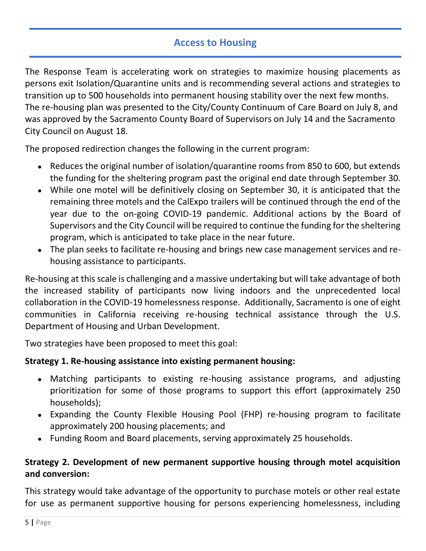# **Access to Housing**

The Response Team is accelerating work on strategies to maximize housing placements as persons exit Isolation/Quarantine units and is recommending several actions and strategies to transition up to 500 households into permanent housing stability over the next few months. The re-housing plan was presented to the City/County Continuum of Care Board on July 8, and was approved by the Sacramento County Board of Supervisors on July 14 and the Sacramento City Council on August 18.

The proposed redirection changes the following in the current program:

- Reduces the original number of isolation/quarantine rooms from 850 to 600, but extends the funding for the sheltering program past the original end date through September 30.
- While one motel will be definitively closing on September 30, it is anticipated that the remaining three motels and the CalExpo trailers will be continued through the end of the year due to the on-going COVID-19 pandemic. Additional actions by the Board of Supervisors and the City Council will be required to continue the funding for the sheltering program, which is anticipated to take place in the near future.
- The plan seeks to facilitate re-housing and brings new case management services and rehousing assistance to participants.

Re-housing at this scale is challenging and a massive undertaking but will take advantage of both the increased stability of participants now living indoors and the unprecedented local collaboration in the COVID-19 homelessness response. Additionally, Sacramento is one of eight communities in California receiving re-housing technical assistance through the U.S. Department of Housing and Urban Development.

Two strategies have been proposed to meet this goal:

#### **Strategy 1. Re-housing assistance into existing permanent housing:**

- Matching participants to existing re-housing assistance programs, and adjusting prioritization for some of those programs to support this effort (approximately 250 households);
- Expanding the County Flexible Housing Pool (FHP) re-housing program to facilitate approximately 200 housing placements; and
- Funding Room and Board placements, serving approximately 25 households.

#### **Strategy 2. Development of new permanent supportive housing through motel acquisition and conversion:**

This strategy would take advantage of the opportunity to purchase motels or other real estate for use as permanent supportive housing for persons experiencing homelessness, including